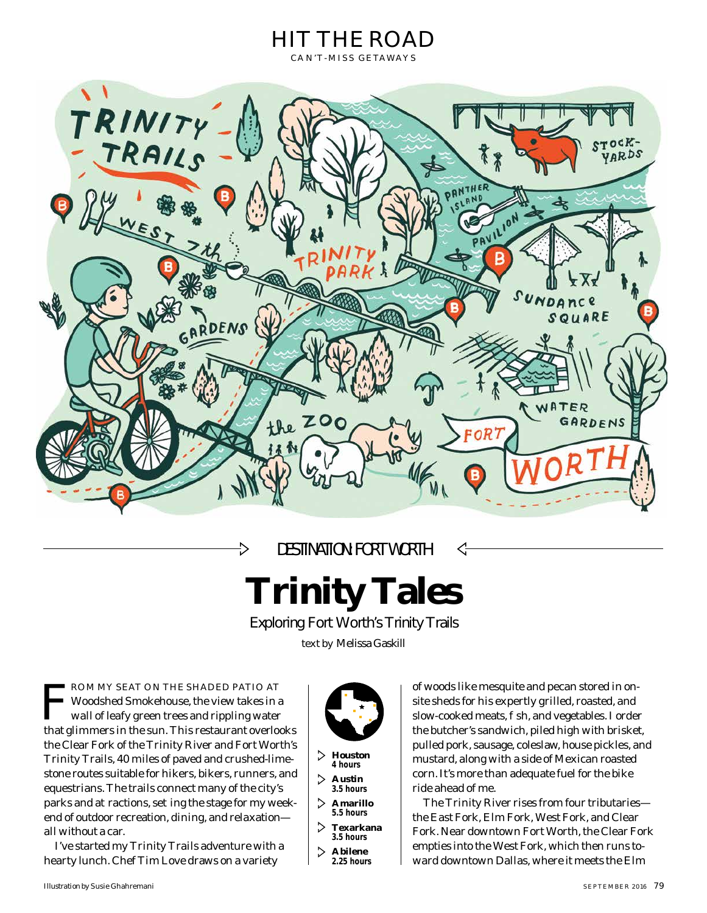

DESTINATION: FORT WORTH

->



Exploring Fort Worth's Trinity Trails

*text by* Melissa Gaskill

**FROM MY SEAT ON THE SHADED PATIO AT**<br>Woodshed Smokehouse, the view takes in a<br>wall of leafy green trees and rippling water<br>that glimmors in the sun. This restaurant evorle Woodshed Smokehouse, the view takes in a wall of leafy green trees and rippling water that glimmers in the sun. This restaurant overlooks the Clear Fork of the Trinity River and Fort Worth's Trinity Trails, 40 miles of paved and crushed-limestone routes suitable for hikers, bikers, runners, and equestrians. The trails connect many of the city's parks and a ractions, se ing the stage for my weekend of outdoor recreation, dining, and relaxation all without a car.

I've started my Trinity Trails adventure with a hearty lunch. Chef Tim Love draws on a variety



**Houston 4 hours**

- **Austin 3.5 hours**
- **Amarillo 5.5 hours**
- **Texarkana 3.5 hours**
- **Abilene**
- **2.25 hours**

of woods like mesquite and pecan stored in onsite sheds for his expertly grilled, roasted, and slow-cooked meats, sh, and vegetables. I order the butcher's sandwich, piled high with brisket, pulled pork, sausage, coleslaw, house pickles, and mustard, along with a side of Mexican roasted corn. It's more than adequate fuel for the bike ride ahead of me.

The Trinity River rises from four tributaries the East Fork, Elm Fork, West Fork, and Clear Fork. Near downtown Fort Worth, the Clear Fork empties into the West Fork, which then runs toward downtown Dallas, where it meets the Elm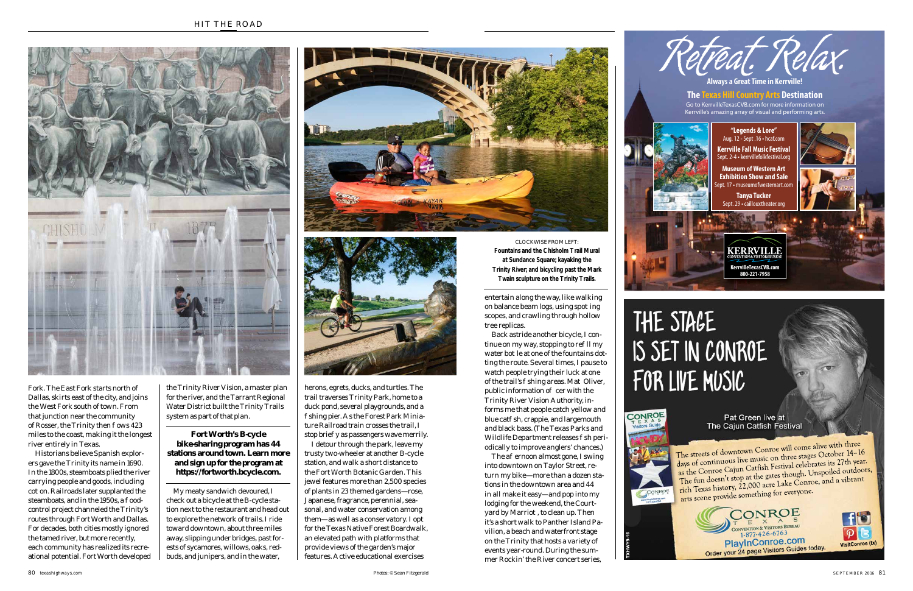Fork. The East Fork starts north of Dallas, skirts east of the city, and joins the West Fork south of town. From that junction near the community of Rosser, the Trinity then ows 423 miles to the coast, making it the longest river entirely in Texas.

Historians believe Spanish explorers gave the Trinity its name in 1690. In the 1800s, steamboats plied the river carrying people and goods, including co on. Railroads later supplanted the steamboats, and in the 1950s, a oodcontrol project channeled the Trinity's routes through Fort Worth and Dallas. For decades, both cities mostly ignored the tamed river, but more recently, each community has realized its recreational potential. Fort Worth developed

herons, egrets, ducks, and turtles. The trail traverses Trinity Park, home to a duck pond, several playgrounds, and a shing pier. As the Forest Park Miniature Railroad train crosses the trail, I stop brie y as passengers wave merrily.

the Trinity River Vision, a master plan for the river, and the Tarrant Regional Water District built the Trinity Trails system as part of that plan.

My meaty sandwich devoured, I check out a bicycle at the B-cycle station next to the restaurant and head out to explore the network of trails. I ride toward downtown, about three miles away, slipping under bridges, past forests of sycamores, willows, oaks, redbuds, and junipers, and in the water,

The a ernoon almost gone, I swing into downtown on Taylor Street, return my bike—more than a dozen stations in the downtown area and 44 in all make it easy—and pop into my lodging for the weekend, the Courtyard by Marrio , to clean up. Then it's a short walk to Panther Island Pavilion, a beach and waterfront stage on the Trinity that hosts a variety of events year-round. During the summer Rockin' the River concert series,

I detour through the park, leave my trusty two-wheeler at another B-cycle station, and walk a short distance to the Fort Worth Botanic Garden. This jewel features more than 2,500 species of plants in 23 themed gardens—rose, Japanese, fragrance, perennial, seasonal, and water conservation among them—as well as a conservatory. I opt for the Texas Native Forest Boardwalk, an elevated path with platforms that provide views of the garden's major features. Active educational exercises

The streets of downtown Conroe will come alive with three days of continuous live music on three stages October 14-16 as the Conroe Cajun Catfish Festival celebrates its 27th year. The fun doesn't stop at the gates though. Unspoiled outdoors, rich Texas history, 22,000 acre Lake Conroe, and a vibrant arts scene provide something for everyone.

entertain along the way, like walking on balance beam logs, using spo ing scopes, and crawling through hollow tree replicas.

Back astride another bicycle, I continue on my way, stopping to re $\Pi$  my water bo le at one of the fountains dotting the route. Several times, I pause to watch people trying their luck at one of the trail's shing areas. Ma Oliver, public information o cer with the Trinity River Vision Authority, informs me that people catch yellow and blue cat sh, crappie, and largemouth and black bass. (The Texas Parks and Wildlife Department releases sh periodically to improve anglers' chances.)

## **Fort Worth's B-cycle bike-sharing program has 44 stations around town. Learn more and sign up for the program at https://fortworth.bcycle.com.**

80*texashighways.com Photos:* © Sean Fitzgerald





CLOCKWISE FROM LEFT: **Fountains and the Chisholm Trail Mural at Sundance Square; kayaking the Trinity River; and bicycling past the Mark Twain sculpture on the Trinity Trails.**





## THE STAGE IS SET IN CONROE FOR LIVE MUSIC



**TXHWY9-16**

Pat Green live at The Cajun Catfish Festival

**VisitConroe (tx)**

 $|\mathcal{P}|$ 

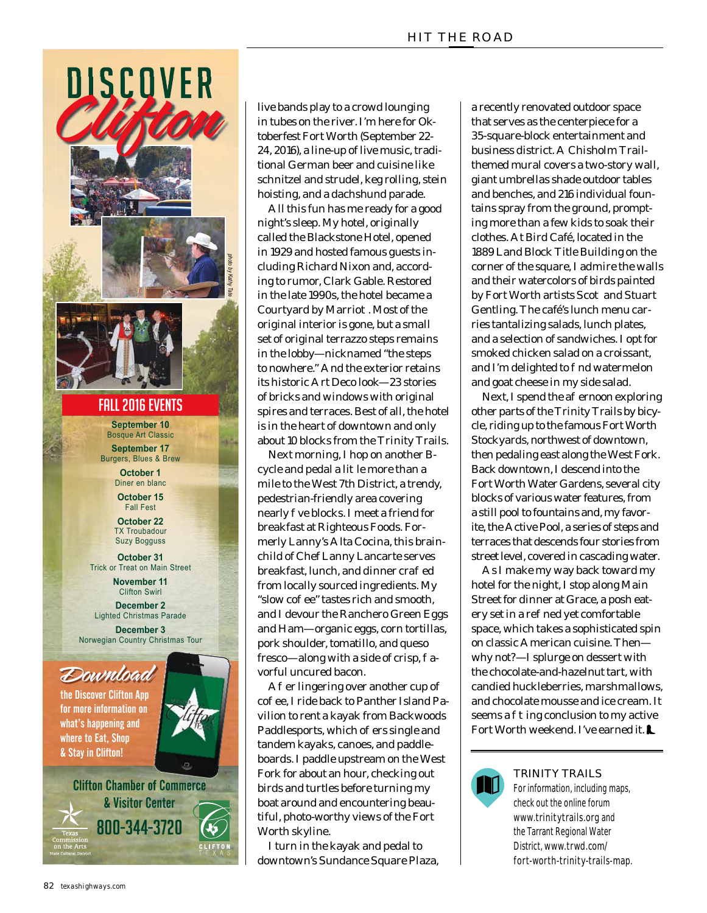

live bands play to a crowd lounging in tubes on the river. I'm here for Oktoberfest Fort Worth (September 22- 24, 2016), a line-up of live music, traditional German beer and cuisine like schnitzel and strudel, keg rolling, stein hoisting, and a dachshund parade.

All this fun has me ready for a good night's sleep. My hotel, originally called the Blackstone Hotel, opened in 1929 and hosted famous guests including Richard Nixon and, according to rumor, Clark Gable. Restored in the late 1990s, the hotel became a Courtyard by Marrio. Most of the original interior is gone, but a small set of original terrazzo steps remains in the lobby—nicknamed "the steps to nowhere." And the exterior retains its historic Art Deco look—23 stories of bricks and windows with original spires and terraces. Best of all, the hotel is in the heart of downtown and only about 10 blocks from the Trinity Trails.

Next morning, I hop on another Bcycle and pedal a li le more than a mile to the West 7th District, a trendy, pedestrian-friendly area covering nearly ve blocks. I meet a friend for breakfast at Righteous Foods. Formerly Lanny's Alta Cocina, this brainchild of Chef Lanny Lancarte serves breakfast, lunch, and dinner cra ed from locally sourced ingredients. My "slow coe" tastes rich and smooth, and I devour the Ranchero Green Eggs and Ham—organic eggs, corn tortillas, pork shoulder, tomatillo, and queso  $f$ resco—along with a side of crisp, avorful uncured bacon.

 $\bf{A}$  er lingering over another cup of co ee, I ride back to Panther Island Pavilion to rent a kayak from Backwoods Paddlesports, which o ers single and tandem kayaks, canoes, and paddleboards. I paddle upstream on the West Fork for about an hour, checking out birds and turtles before turning my boat around and encountering beautiful, photo-worthy views of the Fort Worth skyline.

I turn in the kayak and pedal to downtown's Sundance Square Plaza, a recently renovated outdoor space that serves as the centerpiece for a 35-square-block entertainment and business district. A Chisholm Trailthemed mural covers a two-story wall, giant umbrellas shade outdoor tables and benches, and 216 individual fountains spray from the ground, prompting more than a few kids to soak their clothes. At Bird Café, located in the 1889 Land Block Title Building on the corner of the square, I admire the walls and their watercolors of birds painted by Fort Worth artists Sco and Stuart Gentling. The café's lunch menu carries tantalizing salads, lunch plates, and a selection of sandwiches. I opt for smoked chicken salad on a croissant, and I'm delighted to nd watermelon and goat cheese in my side salad.

Next, I spend the a ernoon exploring other parts of the Trinity Trails by bicycle, riding up to the famous Fort Worth Stockyards, northwest of downtown, then pedaling east along the West Fork. Back downtown, I descend into the Fort Worth Water Gardens, several city blocks of various water features, from a still pool to fountains and, my favorite, the Active Pool, a series of steps and terraces that descends four stories from street level, covered in cascading water.

As I make my way back toward my hotel for the night, I stop along Main Street for dinner at Grace, a posh eatery set in a re ned yet comfortable space, which takes a sophisticated spin on classic American cuisine. Then why not?—I splurge on dessert with the chocolate-and-hazelnut tart, with candied huckleberries, marshmallows, and chocolate mousse and ice cream. It seems a ing conclusion to my active Fort Worth weekend. I've earned it.



## TRINITY TRAILS

For information, including maps, check out the online forum www.trinitytrails.org and the Tarrant Regional Water District, www.trwd.com/ fort-worth-trinity-trails-map.